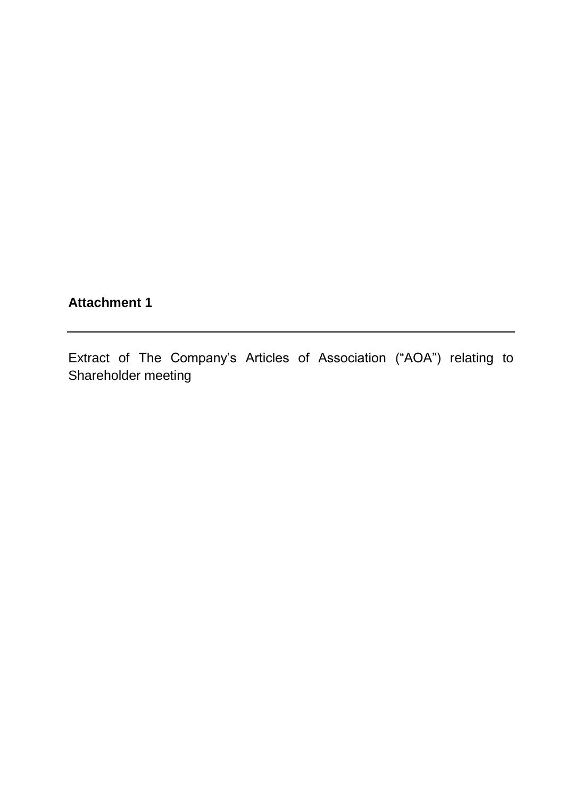## **Attachment 1**

Extract of The Company's Articles of Association ("AOA") relating to Shareholder meeting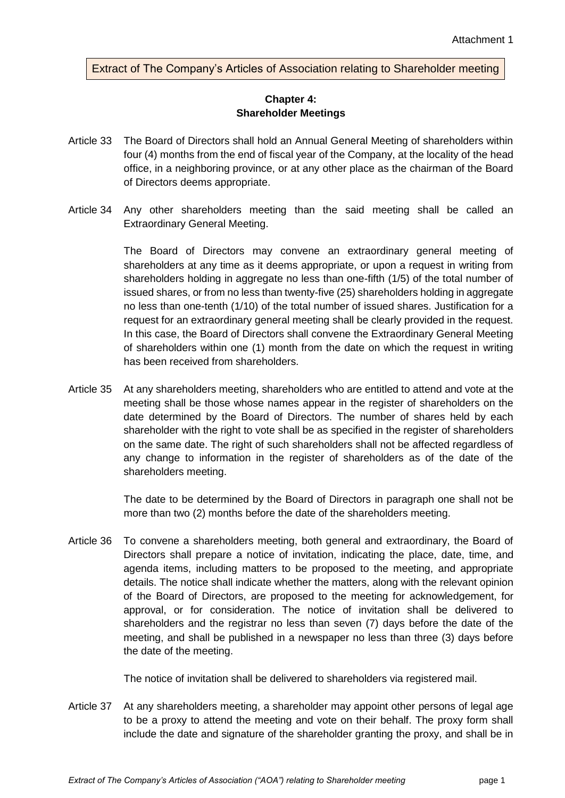Extract of The Company's Articles of Association relating to Shareholder meeting

## **Chapter 4: Shareholder Meetings**

- Article 33 The Board of Directors shall hold an Annual General Meeting of shareholders within four (4) months from the end of fiscal year of the Company, at the locality of the head office, in a neighboring province, or at any other place as the chairman of the Board of Directors deems appropriate.
- Article 34 Any other shareholders meeting than the said meeting shall be called an Extraordinary General Meeting.

The Board of Directors may convene an extraordinary general meeting of shareholders at any time as it deems appropriate, or upon a request in writing from shareholders holding in aggregate no less than one-fifth (1/5) of the total number of issued shares, or from no less than twenty-five (25) shareholders holding in aggregate no less than one-tenth (1/10) of the total number of issued shares. Justification for a request for an extraordinary general meeting shall be clearly provided in the request. In this case, the Board of Directors shall convene the Extraordinary General Meeting of shareholders within one (1) month from the date on which the request in writing has been received from shareholders.

Article 35 At any shareholders meeting, shareholders who are entitled to attend and vote at the meeting shall be those whose names appear in the register of shareholders on the date determined by the Board of Directors. The number of shares held by each shareholder with the right to vote shall be as specified in the register of shareholders on the same date. The right of such shareholders shall not be affected regardless of any change to information in the register of shareholders as of the date of the shareholders meeting.

> The date to be determined by the Board of Directors in paragraph one shall not be more than two (2) months before the date of the shareholders meeting.

Article 36 To convene a shareholders meeting, both general and extraordinary, the Board of Directors shall prepare a notice of invitation, indicating the place, date, time, and agenda items, including matters to be proposed to the meeting, and appropriate details. The notice shall indicate whether the matters, along with the relevant opinion of the Board of Directors, are proposed to the meeting for acknowledgement, for approval, or for consideration. The notice of invitation shall be delivered to shareholders and the registrar no less than seven (7) days before the date of the meeting, and shall be published in a newspaper no less than three (3) days before the date of the meeting.

The notice of invitation shall be delivered to shareholders via registered mail.

Article 37 At any shareholders meeting, a shareholder may appoint other persons of legal age to be a proxy to attend the meeting and vote on their behalf. The proxy form shall include the date and signature of the shareholder granting the proxy, and shall be in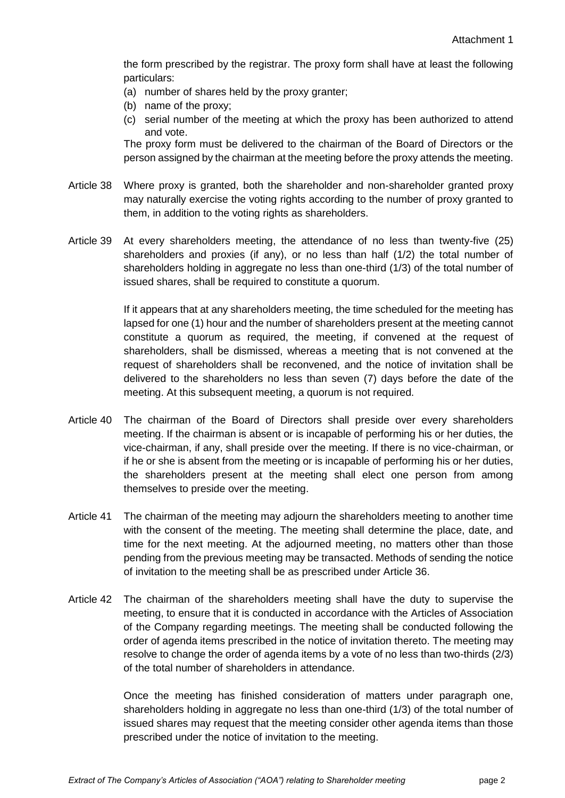the form prescribed by the registrar. The proxy form shall have at least the following particulars:

- (a) number of shares held by the proxy granter;
- (b) name of the proxy;
- (c) serial number of the meeting at which the proxy has been authorized to attend and vote.

The proxy form must be delivered to the chairman of the Board of Directors or the person assigned by the chairman at the meeting before the proxy attends the meeting.

- Article 38 Where proxy is granted, both the shareholder and non-shareholder granted proxy may naturally exercise the voting rights according to the number of proxy granted to them, in addition to the voting rights as shareholders.
- Article 39 At every shareholders meeting, the attendance of no less than twenty-five (25) shareholders and proxies (if any), or no less than half (1/2) the total number of shareholders holding in aggregate no less than one-third (1/3) of the total number of issued shares, shall be required to constitute a quorum.

If it appears that at any shareholders meeting, the time scheduled for the meeting has lapsed for one (1) hour and the number of shareholders present at the meeting cannot constitute a quorum as required, the meeting, if convened at the request of shareholders, shall be dismissed, whereas a meeting that is not convened at the request of shareholders shall be reconvened, and the notice of invitation shall be delivered to the shareholders no less than seven (7) days before the date of the meeting. At this subsequent meeting, a quorum is not required.

- Article 40 The chairman of the Board of Directors shall preside over every shareholders meeting. If the chairman is absent or is incapable of performing his or her duties, the vice-chairman, if any, shall preside over the meeting. If there is no vice-chairman, or if he or she is absent from the meeting or is incapable of performing his or her duties, the shareholders present at the meeting shall elect one person from among themselves to preside over the meeting.
- Article 41 The chairman of the meeting may adjourn the shareholders meeting to another time with the consent of the meeting. The meeting shall determine the place, date, and time for the next meeting. At the adjourned meeting, no matters other than those pending from the previous meeting may be transacted. Methods of sending the notice of invitation to the meeting shall be as prescribed under Article 36.
- Article 42 The chairman of the shareholders meeting shall have the duty to supervise the meeting, to ensure that it is conducted in accordance with the Articles of Association of the Company regarding meetings. The meeting shall be conducted following the order of agenda items prescribed in the notice of invitation thereto. The meeting may resolve to change the order of agenda items by a vote of no less than two-thirds (2/3) of the total number of shareholders in attendance.

Once the meeting has finished consideration of matters under paragraph one, shareholders holding in aggregate no less than one-third (1/3) of the total number of issued shares may request that the meeting consider other agenda items than those prescribed under the notice of invitation to the meeting.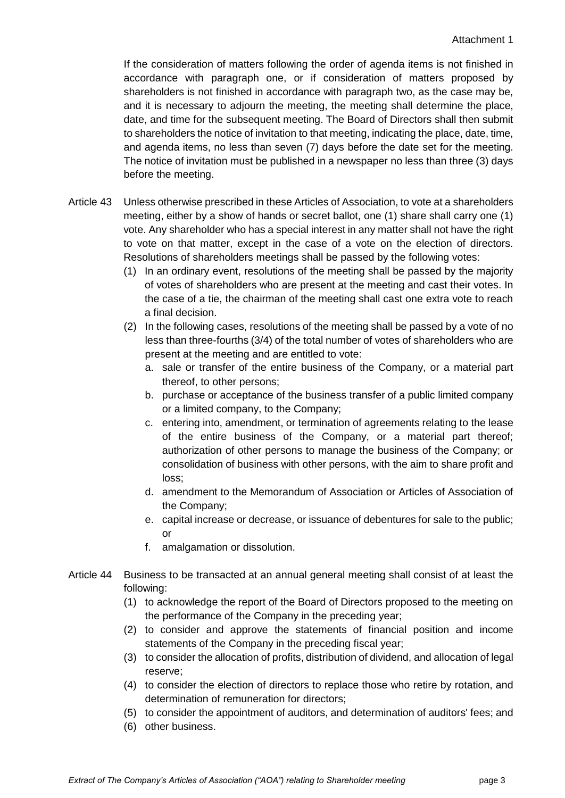If the consideration of matters following the order of agenda items is not finished in accordance with paragraph one, or if consideration of matters proposed by shareholders is not finished in accordance with paragraph two, as the case may be, and it is necessary to adjourn the meeting, the meeting shall determine the place, date, and time for the subsequent meeting. The Board of Directors shall then submit to shareholders the notice of invitation to that meeting, indicating the place, date, time, and agenda items, no less than seven (7) days before the date set for the meeting. The notice of invitation must be published in a newspaper no less than three (3) days before the meeting.

- Article 43 Unless otherwise prescribed in these Articles of Association, to vote at a shareholders meeting, either by a show of hands or secret ballot, one (1) share shall carry one (1) vote. Any shareholder who has a special interest in any matter shall not have the right to vote on that matter, except in the case of a vote on the election of directors. Resolutions of shareholders meetings shall be passed by the following votes:
	- (1) In an ordinary event, resolutions of the meeting shall be passed by the majority of votes of shareholders who are present at the meeting and cast their votes. In the case of a tie, the chairman of the meeting shall cast one extra vote to reach a final decision.
	- (2) In the following cases, resolutions of the meeting shall be passed by a vote of no less than three-fourths (3/4) of the total number of votes of shareholders who are present at the meeting and are entitled to vote:
		- a. sale or transfer of the entire business of the Company, or a material part thereof, to other persons;
		- b. purchase or acceptance of the business transfer of a public limited company or a limited company, to the Company;
		- c. entering into, amendment, or termination of agreements relating to the lease of the entire business of the Company, or a material part thereof; authorization of other persons to manage the business of the Company; or consolidation of business with other persons, with the aim to share profit and loss;
		- d. amendment to the Memorandum of Association or Articles of Association of the Company;
		- e. capital increase or decrease, or issuance of debentures for sale to the public; or
		- f. amalgamation or dissolution.
- Article 44 Business to be transacted at an annual general meeting shall consist of at least the following:
	- (1) to acknowledge the report of the Board of Directors proposed to the meeting on the performance of the Company in the preceding year;
	- (2) to consider and approve the statements of financial position and income statements of the Company in the preceding fiscal year;
	- (3) to consider the allocation of profits, distribution of dividend, and allocation of legal reserve;
	- (4) to consider the election of directors to replace those who retire by rotation, and determination of remuneration for directors;
	- (5) to consider the appointment of auditors, and determination of auditors' fees; and
	- (6) other business.